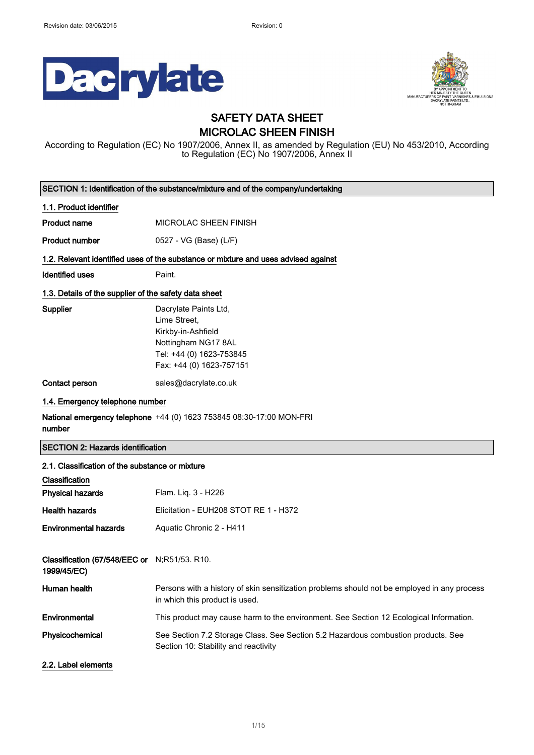



### SAFETY DATA SHEET MICROLAC SHEEN FINISH

According to Regulation (EC) No 1907/2006, Annex II, as amended by Regulation (EU) No 453/2010, According to Regulation (EC) No 1907/2006, Annex II

| SECTION 1: Identification of the substance/mixture and of the company/undertaking |                                                                                                                                            |  |
|-----------------------------------------------------------------------------------|--------------------------------------------------------------------------------------------------------------------------------------------|--|
| 1.1. Product identifier                                                           |                                                                                                                                            |  |
| <b>Product name</b>                                                               | MICROLAC SHEEN FINISH                                                                                                                      |  |
| <b>Product number</b>                                                             | 0527 - VG (Base) (L/F)                                                                                                                     |  |
|                                                                                   | 1.2. Relevant identified uses of the substance or mixture and uses advised against                                                         |  |
| <b>Identified uses</b>                                                            | Paint.                                                                                                                                     |  |
| 1.3. Details of the supplier of the safety data sheet                             |                                                                                                                                            |  |
| Supplier                                                                          | Dacrylate Paints Ltd,<br>Lime Street,<br>Kirkby-in-Ashfield<br>Nottingham NG17 8AL<br>Tel: +44 (0) 1623-753845<br>Fax: +44 (0) 1623-757151 |  |
| Contact person                                                                    | sales@dacrylate.co.uk                                                                                                                      |  |
| 1.4. Emergency telephone number                                                   |                                                                                                                                            |  |
| number                                                                            | National emergency telephone +44 (0) 1623 753845 08:30-17:00 MON-FRI                                                                       |  |
| <b>SECTION 2: Hazards identification</b>                                          |                                                                                                                                            |  |
| 2.1. Classification of the substance or mixture                                   |                                                                                                                                            |  |
| Classification                                                                    |                                                                                                                                            |  |
| <b>Physical hazards</b>                                                           | Flam. Liq. 3 - H226                                                                                                                        |  |
| <b>Health hazards</b>                                                             | Elicitation - EUH208 STOT RE 1 - H372                                                                                                      |  |
| <b>Environmental hazards</b>                                                      | Aquatic Chronic 2 - H411                                                                                                                   |  |
| Classification (67/548/EEC or N;R51/53. R10.<br>1999/45/EC)                       |                                                                                                                                            |  |
| Human health                                                                      | Persons with a history of skin sensitization problems should not be employed in any process<br>in which this product is used.              |  |
| Environmental                                                                     | This product may cause harm to the environment. See Section 12 Ecological Information.                                                     |  |
| Physicochemical                                                                   | See Section 7.2 Storage Class. See Section 5.2 Hazardous combustion products. See<br>Section 10: Stability and reactivity                  |  |
| 2.2. Label elements                                                               |                                                                                                                                            |  |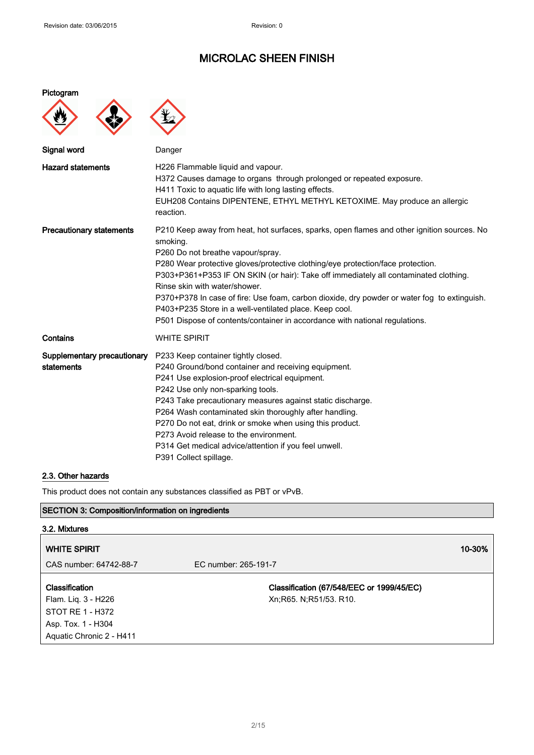| Pictogram |  |
|-----------|--|
|           |  |



| Signal word                               | Danger                                                                                                                                                                                                                                                                                                                                                                                                                                                                                                                                                                                          |
|-------------------------------------------|-------------------------------------------------------------------------------------------------------------------------------------------------------------------------------------------------------------------------------------------------------------------------------------------------------------------------------------------------------------------------------------------------------------------------------------------------------------------------------------------------------------------------------------------------------------------------------------------------|
| <b>Hazard statements</b>                  | H226 Flammable liquid and vapour.<br>H372 Causes damage to organs through prolonged or repeated exposure.<br>H411 Toxic to aquatic life with long lasting effects.<br>EUH208 Contains DIPENTENE, ETHYL METHYL KETOXIME. May produce an allergic<br>reaction.                                                                                                                                                                                                                                                                                                                                    |
| <b>Precautionary statements</b>           | P210 Keep away from heat, hot surfaces, sparks, open flames and other ignition sources. No<br>smoking.<br>P260 Do not breathe vapour/spray.<br>P280 Wear protective gloves/protective clothing/eye protection/face protection.<br>P303+P361+P353 IF ON SKIN (or hair): Take off immediately all contaminated clothing.<br>Rinse skin with water/shower.<br>P370+P378 In case of fire: Use foam, carbon dioxide, dry powder or water fog to extinguish.<br>P403+P235 Store in a well-ventilated place. Keep cool.<br>P501 Dispose of contents/container in accordance with national regulations. |
| Contains                                  | <b>WHITE SPIRIT</b>                                                                                                                                                                                                                                                                                                                                                                                                                                                                                                                                                                             |
| Supplementary precautionary<br>statements | P233 Keep container tightly closed.<br>P240 Ground/bond container and receiving equipment.<br>P241 Use explosion-proof electrical equipment.<br>P242 Use only non-sparking tools.<br>P243 Take precautionary measures against static discharge.<br>P264 Wash contaminated skin thoroughly after handling.<br>P270 Do not eat, drink or smoke when using this product.<br>P273 Avoid release to the environment.<br>P314 Get medical advice/attention if you feel unwell.<br>P391 Collect spillage.                                                                                              |

### 2.3. Other hazards

This product does not contain any substances classified as PBT or vPvB.

### SECTION 3: Composition/information on ingredients

| 3.2. Mixtures                                                                                               |                                                                       |        |
|-------------------------------------------------------------------------------------------------------------|-----------------------------------------------------------------------|--------|
| <b>WHITE SPIRIT</b>                                                                                         |                                                                       | 10-30% |
| CAS number: 64742-88-7                                                                                      | EC number: 265-191-7                                                  |        |
| Classification<br>Flam. Liq. 3 - H226<br>STOT RE 1 - H372<br>Asp. Tox. 1 - H304<br>Aquatic Chronic 2 - H411 | Classification (67/548/EEC or 1999/45/EC)<br>Xn; R65. N; R51/53. R10. |        |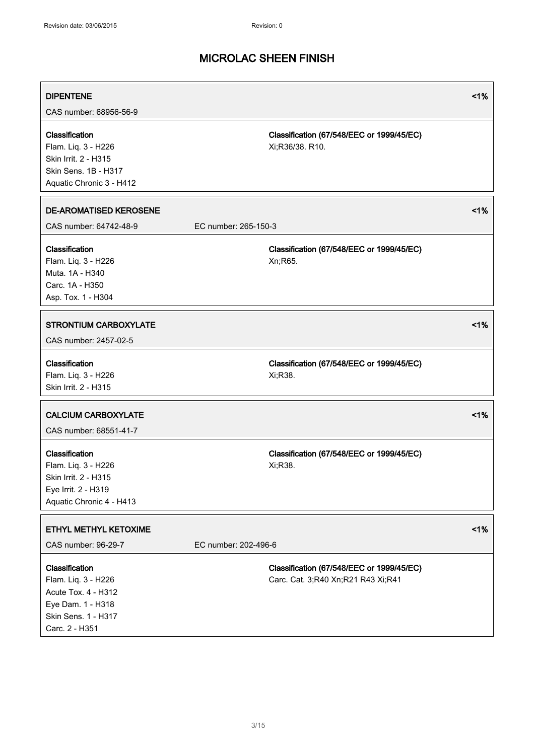| <b>DIPENTENE</b><br>CAS number: 68956-56-9                                                                                 |                      |                                                                                 | 1% |
|----------------------------------------------------------------------------------------------------------------------------|----------------------|---------------------------------------------------------------------------------|----|
| Classification<br>Flam. Liq. 3 - H226<br>Skin Irrit. 2 - H315<br>Skin Sens. 1B - H317<br>Aquatic Chronic 3 - H412          |                      | Classification (67/548/EEC or 1999/45/EC)<br>Xi;R36/38. R10.                    |    |
| <b>DE-AROMATISED KEROSENE</b><br>CAS number: 64742-48-9                                                                    | EC number: 265-150-3 |                                                                                 | 1% |
| Classification<br>Flam. Liq. 3 - H226<br>Muta, 1A - H340<br>Carc. 1A - H350<br>Asp. Tox. 1 - H304                          |                      | Classification (67/548/EEC or 1999/45/EC)<br>Xn;R65.                            |    |
| <b>STRONTIUM CARBOXYLATE</b><br>CAS number: 2457-02-5                                                                      |                      |                                                                                 | 1% |
| Classification<br>Flam. Liq. 3 - H226<br>Skin Irrit. 2 - H315                                                              |                      | Classification (67/548/EEC or 1999/45/EC)<br>Xi;R38.                            |    |
| <b>CALCIUM CARBOXYLATE</b><br>CAS number: 68551-41-7                                                                       |                      |                                                                                 | 1% |
| Classification<br>Flam. Liq. 3 - H226<br>Skin Irrit. 2 - H315<br>Eye Irrit. 2 - H319<br>Aquatic Chronic 4 - H413           |                      | Classification (67/548/EEC or 1999/45/EC)<br>Xi;R38.                            |    |
| ETHYL METHYL KETOXIME<br>CAS number: 96-29-7                                                                               | EC number: 202-496-6 |                                                                                 | 1% |
| Classification<br>Flam. Liq. 3 - H226<br>Acute Tox. 4 - H312<br>Eye Dam. 1 - H318<br>Skin Sens. 1 - H317<br>Carc. 2 - H351 |                      | Classification (67/548/EEC or 1999/45/EC)<br>Carc. Cat. 3;R40 Xn;R21 R43 Xi;R41 |    |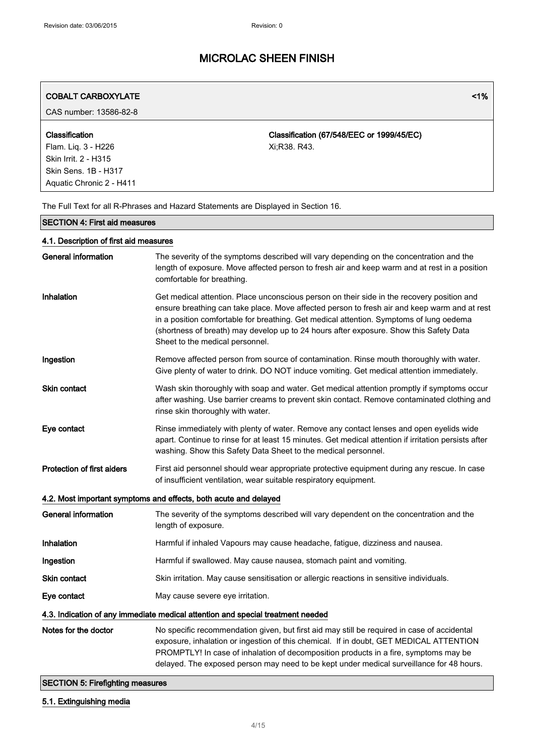| <b>COBALT CARBOXYLATE</b> | <1% |
|---------------------------|-----|
|---------------------------|-----|

CAS number: 13586-82-8

### Classification

Flam. Liq. 3 - H226 Skin Irrit. 2 - H315 Skin Sens. 1B - H317 Aquatic Chronic 2 - H411

Classification (67/548/EEC or 1999/45/EC) Xi;R38. R43.

The Full Text for all R-Phrases and Hazard Statements are Displayed in Section 16.

### SECTION 4: First aid measures

### 4.1. Description of first aid measures

| <b>General information</b>                                                      | The severity of the symptoms described will vary depending on the concentration and the<br>length of exposure. Move affected person to fresh air and keep warm and at rest in a position<br>comfortable for breathing.                                                                                                                                                                                             |  |
|---------------------------------------------------------------------------------|--------------------------------------------------------------------------------------------------------------------------------------------------------------------------------------------------------------------------------------------------------------------------------------------------------------------------------------------------------------------------------------------------------------------|--|
| Inhalation                                                                      | Get medical attention. Place unconscious person on their side in the recovery position and<br>ensure breathing can take place. Move affected person to fresh air and keep warm and at rest<br>in a position comfortable for breathing. Get medical attention. Symptoms of lung oedema<br>(shortness of breath) may develop up to 24 hours after exposure. Show this Safety Data<br>Sheet to the medical personnel. |  |
| Ingestion                                                                       | Remove affected person from source of contamination. Rinse mouth thoroughly with water.<br>Give plenty of water to drink. DO NOT induce vomiting. Get medical attention immediately.                                                                                                                                                                                                                               |  |
| Skin contact                                                                    | Wash skin thoroughly with soap and water. Get medical attention promptly if symptoms occur<br>after washing. Use barrier creams to prevent skin contact. Remove contaminated clothing and<br>rinse skin thoroughly with water.                                                                                                                                                                                     |  |
| Eye contact                                                                     | Rinse immediately with plenty of water. Remove any contact lenses and open eyelids wide<br>apart. Continue to rinse for at least 15 minutes. Get medical attention if irritation persists after<br>washing. Show this Safety Data Sheet to the medical personnel.                                                                                                                                                  |  |
| Protection of first aiders                                                      | First aid personnel should wear appropriate protective equipment during any rescue. In case<br>of insufficient ventilation, wear suitable respiratory equipment.                                                                                                                                                                                                                                                   |  |
|                                                                                 | 4.2. Most important symptoms and effects, both acute and delayed                                                                                                                                                                                                                                                                                                                                                   |  |
| <b>General information</b>                                                      | The severity of the symptoms described will vary dependent on the concentration and the<br>length of exposure.                                                                                                                                                                                                                                                                                                     |  |
| Inhalation                                                                      | Harmful if inhaled Vapours may cause headache, fatigue, dizziness and nausea.                                                                                                                                                                                                                                                                                                                                      |  |
| Ingestion                                                                       | Harmful if swallowed. May cause nausea, stomach paint and vomiting.                                                                                                                                                                                                                                                                                                                                                |  |
| <b>Skin contact</b>                                                             | Skin irritation. May cause sensitisation or allergic reactions in sensitive individuals.                                                                                                                                                                                                                                                                                                                           |  |
| Eye contact                                                                     | May cause severe eye irritation.                                                                                                                                                                                                                                                                                                                                                                                   |  |
| 4.3. Indication of any immediate medical attention and special treatment needed |                                                                                                                                                                                                                                                                                                                                                                                                                    |  |
| Notes for the doctor                                                            | No specific recommendation given, but first aid may still be required in case of accidental<br>exposure, inhalation or ingestion of this chemical. If in doubt, GET MEDICAL ATTENTION<br>PROMPTLY! In case of inhalation of decomposition products in a fire, symptoms may be<br>delayed. The exposed person may need to be kept under medical surveillance for 48 hours.                                          |  |

### SECTION 5: Firefighting measures

### 5.1. Extinguishing media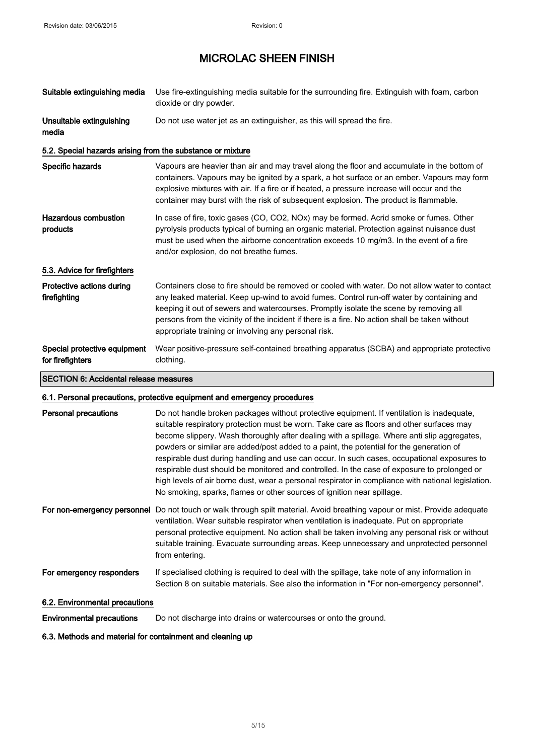| Suitable extinguishing media                                             | Use fire-extinguishing media suitable for the surrounding fire. Extinguish with foam, carbon<br>dioxide or dry powder.                                                                                                                                                                                                                                                                                                                         |  |
|--------------------------------------------------------------------------|------------------------------------------------------------------------------------------------------------------------------------------------------------------------------------------------------------------------------------------------------------------------------------------------------------------------------------------------------------------------------------------------------------------------------------------------|--|
| Unsuitable extinguishing<br>media                                        | Do not use water jet as an extinguisher, as this will spread the fire.                                                                                                                                                                                                                                                                                                                                                                         |  |
| 5.2. Special hazards arising from the substance or mixture               |                                                                                                                                                                                                                                                                                                                                                                                                                                                |  |
| Specific hazards                                                         | Vapours are heavier than air and may travel along the floor and accumulate in the bottom of<br>containers. Vapours may be ignited by a spark, a hot surface or an ember. Vapours may form<br>explosive mixtures with air. If a fire or if heated, a pressure increase will occur and the<br>container may burst with the risk of subsequent explosion. The product is flammable.                                                               |  |
| Hazardous combustion<br>products                                         | In case of fire, toxic gases (CO, CO2, NOx) may be formed. Acrid smoke or fumes. Other<br>pyrolysis products typical of burning an organic material. Protection against nuisance dust<br>must be used when the airborne concentration exceeds 10 mg/m3. In the event of a fire<br>and/or explosion, do not breathe fumes.                                                                                                                      |  |
| 5.3. Advice for firefighters                                             |                                                                                                                                                                                                                                                                                                                                                                                                                                                |  |
| Protective actions during<br>firefighting                                | Containers close to fire should be removed or cooled with water. Do not allow water to contact<br>any leaked material. Keep up-wind to avoid fumes. Control run-off water by containing and<br>keeping it out of sewers and watercourses. Promptly isolate the scene by removing all<br>persons from the vicinity of the incident if there is a fire. No action shall be taken without<br>appropriate training or involving any personal risk. |  |
| Special protective equipment<br>for firefighters                         | Wear positive-pressure self-contained breathing apparatus (SCBA) and appropriate protective<br>clothing.                                                                                                                                                                                                                                                                                                                                       |  |
| <b>SECTION 6: Accidental release measures</b>                            |                                                                                                                                                                                                                                                                                                                                                                                                                                                |  |
| 6.1. Personal precautions, protective equipment and emergency procedures |                                                                                                                                                                                                                                                                                                                                                                                                                                                |  |

| Personal precautions        | Do not handle broken packages without protective equipment. If ventilation is inadequate,<br>suitable respiratory protection must be worn. Take care as floors and other surfaces may<br>become slippery. Wash thoroughly after dealing with a spillage. Where anti slip aggregates,<br>powders or similar are added/post added to a paint, the potential for the generation of<br>respirable dust during handling and use can occur. In such cases, occupational exposures to<br>respirable dust should be monitored and controlled. In the case of exposure to prolonged or<br>high levels of air borne dust, wear a personal respirator in compliance with national legislation.<br>No smoking, sparks, flames or other sources of ignition near spillage. |
|-----------------------------|---------------------------------------------------------------------------------------------------------------------------------------------------------------------------------------------------------------------------------------------------------------------------------------------------------------------------------------------------------------------------------------------------------------------------------------------------------------------------------------------------------------------------------------------------------------------------------------------------------------------------------------------------------------------------------------------------------------------------------------------------------------|
| For non-emergency personnel | Do not touch or walk through spilt material. Avoid breathing vapour or mist. Provide adequate<br>ventilation. Wear suitable respirator when ventilation is inadequate. Put on appropriate<br>personal protective equipment. No action shall be taken involving any personal risk or without<br>suitable training. Evacuate surrounding areas. Keep unnecessary and unprotected personnel<br>from entering.                                                                                                                                                                                                                                                                                                                                                    |
| For emergency responders    | If specialised clothing is required to deal with the spillage, take note of any information in<br>Section 8 on suitable materials. See also the information in "For non-emergency personnel".                                                                                                                                                                                                                                                                                                                                                                                                                                                                                                                                                                 |

### 6.2. Environmental precautions

Environmental precautions Do not discharge into drains or watercourses or onto the ground.

### 6.3. Methods and material for containment and cleaning up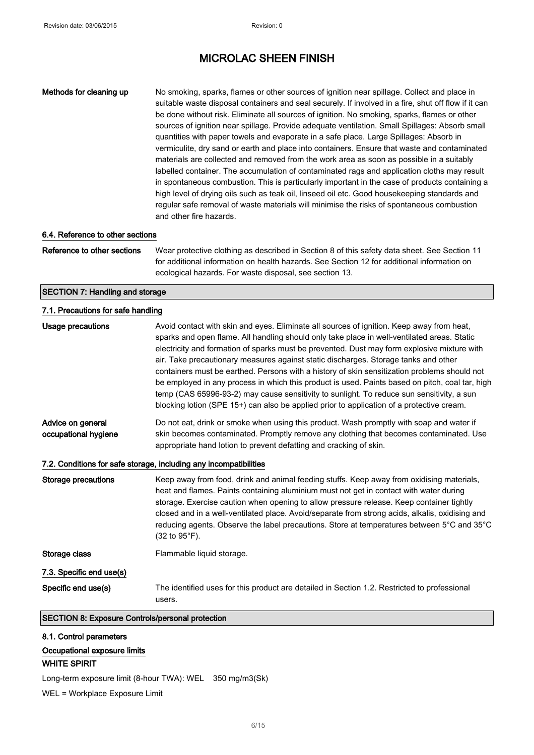Methods for cleaning up No smoking, sparks, flames or other sources of ignition near spillage. Collect and place in suitable waste disposal containers and seal securely. If involved in a fire, shut off flow if it can be done without risk. Eliminate all sources of ignition. No smoking, sparks, flames or other sources of ignition near spillage. Provide adequate ventilation. Small Spillages: Absorb small quantities with paper towels and evaporate in a safe place. Large Spillages: Absorb in vermiculite, dry sand or earth and place into containers. Ensure that waste and contaminated materials are collected and removed from the work area as soon as possible in a suitably labelled container. The accumulation of contaminated rags and application cloths may result in spontaneous combustion. This is particularly important in the case of products containing a high level of drying oils such as teak oil, linseed oil etc. Good housekeeping standards and regular safe removal of waste materials will minimise the risks of spontaneous combustion and other fire hazards.

### 6.4. Reference to other sections

Reference to other sections Wear protective clothing as described in Section 8 of this safety data sheet. See Section 11 for additional information on health hazards. See Section 12 for additional information on ecological hazards. For waste disposal, see section 13.

#### SECTION 7: Handling and storage

#### 7.1. Precautions for safe handling

| Usage precautions                                                 | Avoid contact with skin and eyes. Eliminate all sources of ignition. Keep away from heat,<br>sparks and open flame. All handling should only take place in well-ventilated areas. Static<br>electricity and formation of sparks must be prevented. Dust may form explosive mixture with<br>air. Take precautionary measures against static discharges. Storage tanks and other<br>containers must be earthed. Persons with a history of skin sensitization problems should not<br>be employed in any process in which this product is used. Paints based on pitch, coal tar, high<br>temp (CAS 65996-93-2) may cause sensitivity to sunlight. To reduce sun sensitivity, a sun<br>blocking lotion (SPE 15+) can also be applied prior to application of a protective cream. |  |  |
|-------------------------------------------------------------------|-----------------------------------------------------------------------------------------------------------------------------------------------------------------------------------------------------------------------------------------------------------------------------------------------------------------------------------------------------------------------------------------------------------------------------------------------------------------------------------------------------------------------------------------------------------------------------------------------------------------------------------------------------------------------------------------------------------------------------------------------------------------------------|--|--|
| Advice on general<br>occupational hygiene                         | Do not eat, drink or smoke when using this product. Wash promptly with soap and water if<br>skin becomes contaminated. Promptly remove any clothing that becomes contaminated. Use<br>appropriate hand lotion to prevent defatting and cracking of skin.                                                                                                                                                                                                                                                                                                                                                                                                                                                                                                                    |  |  |
| 7.2. Conditions for safe storage, including any incompatibilities |                                                                                                                                                                                                                                                                                                                                                                                                                                                                                                                                                                                                                                                                                                                                                                             |  |  |
| <b>Storage precautions</b>                                        | Keep away from food, drink and animal feeding stuffs. Keep away from oxidising materials,<br>heat and flames. Paints containing aluminium must not get in contact with water during<br>storage. Exercise caution when opening to allow pressure release. Keep container tightly<br>closed and in a well-ventilated place. Avoid/separate from strong acids, alkalis, oxidising and<br>reducing agents. Observe the label precautions. Store at temperatures between 5°C and 35°C<br>$(32 \text{ to } 95^{\circ} \text{F}).$                                                                                                                                                                                                                                                 |  |  |
| Storage class                                                     | Flammable liquid storage.                                                                                                                                                                                                                                                                                                                                                                                                                                                                                                                                                                                                                                                                                                                                                   |  |  |
| 7.3. Specific end use(s)                                          |                                                                                                                                                                                                                                                                                                                                                                                                                                                                                                                                                                                                                                                                                                                                                                             |  |  |
| Specific end use(s)                                               | The identified uses for this product are detailed in Section 1.2. Restricted to professional<br>users.                                                                                                                                                                                                                                                                                                                                                                                                                                                                                                                                                                                                                                                                      |  |  |
| <b>SECTION 8: Exposure Controls/personal protection</b>           |                                                                                                                                                                                                                                                                                                                                                                                                                                                                                                                                                                                                                                                                                                                                                                             |  |  |

8.1. Control parameters Occupational exposure limits WHITE SPIRIT

Long-term exposure limit (8-hour TWA): WEL 350 mg/m3(Sk)

WEL = Workplace Exposure Limit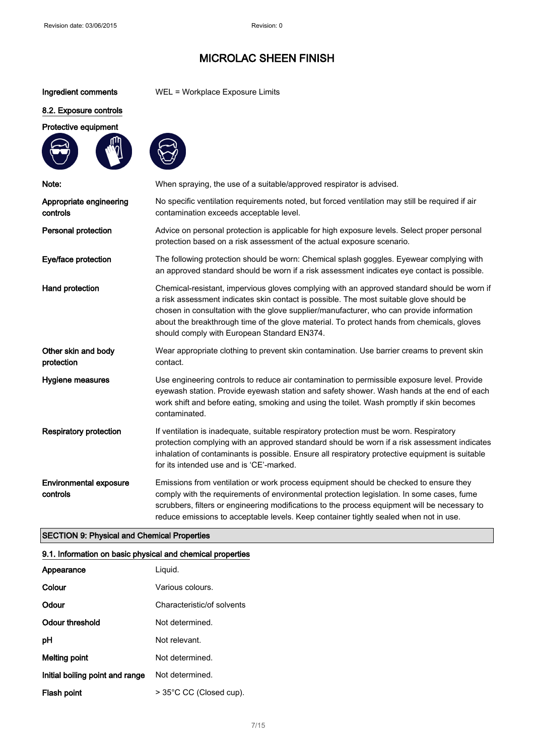### Ingredient comments WEL = Workplace Exposure Limits

### 8.2. Exposure controls

Protective equipment



| Note:                                     | When spraying, the use of a suitable/approved respirator is advised.                                                                                                                                                                                                                                                                                                                                                            |
|-------------------------------------------|---------------------------------------------------------------------------------------------------------------------------------------------------------------------------------------------------------------------------------------------------------------------------------------------------------------------------------------------------------------------------------------------------------------------------------|
| Appropriate engineering<br>controls       | No specific ventilation requirements noted, but forced ventilation may still be required if air<br>contamination exceeds acceptable level.                                                                                                                                                                                                                                                                                      |
| Personal protection                       | Advice on personal protection is applicable for high exposure levels. Select proper personal<br>protection based on a risk assessment of the actual exposure scenario.                                                                                                                                                                                                                                                          |
| Eye/face protection                       | The following protection should be worn: Chemical splash goggles. Eyewear complying with<br>an approved standard should be worn if a risk assessment indicates eye contact is possible.                                                                                                                                                                                                                                         |
| Hand protection                           | Chemical-resistant, impervious gloves complying with an approved standard should be worn if<br>a risk assessment indicates skin contact is possible. The most suitable glove should be<br>chosen in consultation with the glove supplier/manufacturer, who can provide information<br>about the breakthrough time of the glove material. To protect hands from chemicals, gloves<br>should comply with European Standard EN374. |
| Other skin and body<br>protection         | Wear appropriate clothing to prevent skin contamination. Use barrier creams to prevent skin<br>contact.                                                                                                                                                                                                                                                                                                                         |
| Hygiene measures                          | Use engineering controls to reduce air contamination to permissible exposure level. Provide<br>eyewash station. Provide eyewash station and safety shower. Wash hands at the end of each<br>work shift and before eating, smoking and using the toilet. Wash promptly if skin becomes<br>contaminated.                                                                                                                          |
| <b>Respiratory protection</b>             | If ventilation is inadequate, suitable respiratory protection must be worn. Respiratory<br>protection complying with an approved standard should be worn if a risk assessment indicates<br>inhalation of contaminants is possible. Ensure all respiratory protective equipment is suitable<br>for its intended use and is 'CE'-marked.                                                                                          |
| <b>Environmental exposure</b><br>controls | Emissions from ventilation or work process equipment should be checked to ensure they<br>comply with the requirements of environmental protection legislation. In some cases, fume<br>scrubbers, filters or engineering modifications to the process equipment will be necessary to<br>reduce emissions to acceptable levels. Keep container tightly sealed when not in use.                                                    |

### SECTION 9: Physical and Chemical Properties

### 9.1. Information on basic physical and chemical properties

| Appearance                      | Liguid.                    |
|---------------------------------|----------------------------|
| Colour                          | Various colours.           |
| Odour                           | Characteristic/of solvents |
| Odour threshold                 | Not determined.            |
| рH                              | Not relevant.              |
| Melting point                   | Not determined.            |
| Initial boiling point and range | Not determined.            |
| Flash point                     | > 35°C CC (Closed cup).    |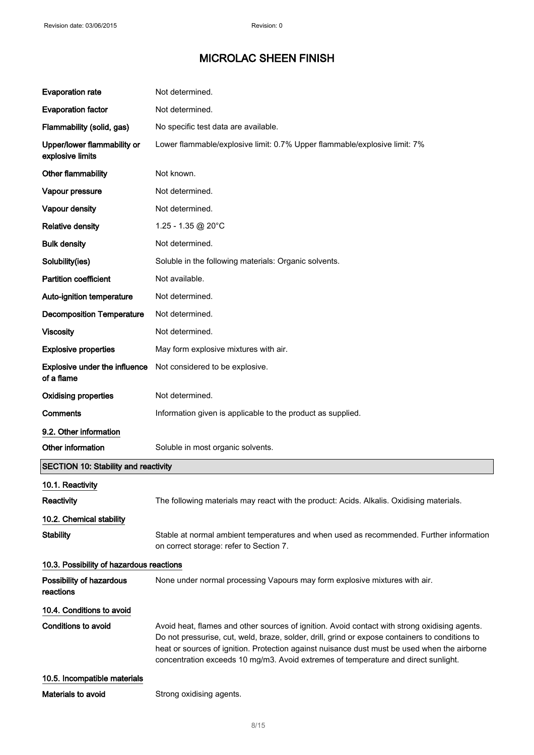| <b>Evaporation rate</b>                         | Not determined.                                                                                                                                                                                                                                                                                                                                                                        |  |
|-------------------------------------------------|----------------------------------------------------------------------------------------------------------------------------------------------------------------------------------------------------------------------------------------------------------------------------------------------------------------------------------------------------------------------------------------|--|
| <b>Evaporation factor</b>                       | Not determined.                                                                                                                                                                                                                                                                                                                                                                        |  |
| Flammability (solid, gas)                       | No specific test data are available.                                                                                                                                                                                                                                                                                                                                                   |  |
| Upper/lower flammability or<br>explosive limits | Lower flammable/explosive limit: 0.7% Upper flammable/explosive limit: 7%                                                                                                                                                                                                                                                                                                              |  |
| Other flammability                              | Not known.                                                                                                                                                                                                                                                                                                                                                                             |  |
| Vapour pressure                                 | Not determined.                                                                                                                                                                                                                                                                                                                                                                        |  |
| Vapour density                                  | Not determined.                                                                                                                                                                                                                                                                                                                                                                        |  |
| <b>Relative density</b>                         | 1.25 - 1.35 @ 20°C                                                                                                                                                                                                                                                                                                                                                                     |  |
| <b>Bulk density</b>                             | Not determined.                                                                                                                                                                                                                                                                                                                                                                        |  |
| Solubility(ies)                                 | Soluble in the following materials: Organic solvents.                                                                                                                                                                                                                                                                                                                                  |  |
| <b>Partition coefficient</b>                    | Not available.                                                                                                                                                                                                                                                                                                                                                                         |  |
| Auto-ignition temperature                       | Not determined.                                                                                                                                                                                                                                                                                                                                                                        |  |
| <b>Decomposition Temperature</b>                | Not determined.                                                                                                                                                                                                                                                                                                                                                                        |  |
| <b>Viscosity</b>                                | Not determined.                                                                                                                                                                                                                                                                                                                                                                        |  |
| <b>Explosive properties</b>                     | May form explosive mixtures with air.                                                                                                                                                                                                                                                                                                                                                  |  |
| Explosive under the influence<br>of a flame     | Not considered to be explosive.                                                                                                                                                                                                                                                                                                                                                        |  |
| <b>Oxidising properties</b>                     | Not determined.                                                                                                                                                                                                                                                                                                                                                                        |  |
| <b>Comments</b>                                 | Information given is applicable to the product as supplied.                                                                                                                                                                                                                                                                                                                            |  |
| 9.2. Other information                          |                                                                                                                                                                                                                                                                                                                                                                                        |  |
| Other information                               | Soluble in most organic solvents.                                                                                                                                                                                                                                                                                                                                                      |  |
| <b>SECTION 10: Stability and reactivity</b>     |                                                                                                                                                                                                                                                                                                                                                                                        |  |
| 10.1. Reactivity                                |                                                                                                                                                                                                                                                                                                                                                                                        |  |
| Reactivity                                      | The following materials may react with the product: Acids. Alkalis. Oxidising materials.                                                                                                                                                                                                                                                                                               |  |
| 10.2. Chemical stability                        |                                                                                                                                                                                                                                                                                                                                                                                        |  |
| <b>Stability</b>                                | Stable at normal ambient temperatures and when used as recommended. Further information<br>on correct storage: refer to Section 7.                                                                                                                                                                                                                                                     |  |
| 10.3. Possibility of hazardous reactions        |                                                                                                                                                                                                                                                                                                                                                                                        |  |
| Possibility of hazardous<br>reactions           | None under normal processing Vapours may form explosive mixtures with air.                                                                                                                                                                                                                                                                                                             |  |
| 10.4. Conditions to avoid                       |                                                                                                                                                                                                                                                                                                                                                                                        |  |
| Conditions to avoid                             | Avoid heat, flames and other sources of ignition. Avoid contact with strong oxidising agents.<br>Do not pressurise, cut, weld, braze, solder, drill, grind or expose containers to conditions to<br>heat or sources of ignition. Protection against nuisance dust must be used when the airborne<br>concentration exceeds 10 mg/m3. Avoid extremes of temperature and direct sunlight. |  |
| 10.5. Incompatible materials                    |                                                                                                                                                                                                                                                                                                                                                                                        |  |
| Materials to avoid                              | Strong oxidising agents.                                                                                                                                                                                                                                                                                                                                                               |  |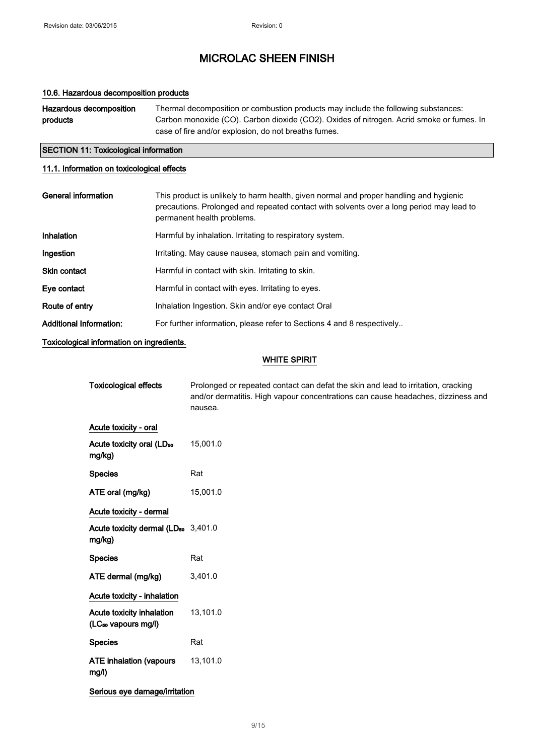### 10.6. Hazardous decomposition products

| Hazardous decomposition | Thermal decomposition or combustion products may include the following substances:       |  |
|-------------------------|------------------------------------------------------------------------------------------|--|
| products                | Carbon monoxide (CO). Carbon dioxide (CO2). Oxides of nitrogen. Acrid smoke or fumes. In |  |
|                         | case of fire and/or explosion, do not breaths fumes.                                     |  |

### SECTION 11: Toxicological information

### 11.1. Information on toxicological effects

| General information            | This product is unlikely to harm health, given normal and proper handling and hygienic<br>precautions. Prolonged and repeated contact with solvents over a long period may lead to<br>permanent health problems. |
|--------------------------------|------------------------------------------------------------------------------------------------------------------------------------------------------------------------------------------------------------------|
| Inhalation                     | Harmful by inhalation. Irritating to respiratory system.                                                                                                                                                         |
| Ingestion                      | Irritating. May cause nausea, stomach pain and vomiting.                                                                                                                                                         |
| <b>Skin contact</b>            | Harmful in contact with skin. Irritating to skin.                                                                                                                                                                |
| Eye contact                    | Harmful in contact with eyes. Irritating to eyes.                                                                                                                                                                |
| Route of entry                 | Inhalation Ingestion. Skin and/or eye contact Oral                                                                                                                                                               |
| <b>Additional Information:</b> | For further information, please refer to Sections 4 and 8 respectively                                                                                                                                           |

Toxicological information on ingredients.

### WHITE SPIRIT

| <b>Toxicological effects</b>                                 | Prolonged or repeated contact can defat the skin and lead to irritation, cracking<br>and/or dermatitis. High vapour concentrations can cause headaches, dizziness and<br>nausea. |  |
|--------------------------------------------------------------|----------------------------------------------------------------------------------------------------------------------------------------------------------------------------------|--|
| Acute toxicity - oral                                        |                                                                                                                                                                                  |  |
| Acute toxicity oral (LD <sub>50</sub><br>mg/kg)              | 15,001.0                                                                                                                                                                         |  |
| <b>Species</b>                                               | Rat                                                                                                                                                                              |  |
| ATE oral (mg/kg)                                             | 15,001.0                                                                                                                                                                         |  |
| Acute toxicity - dermal                                      |                                                                                                                                                                                  |  |
| Acute toxicity dermal (LD <sub>50</sub> 3,401.0<br>mg/kg)    |                                                                                                                                                                                  |  |
| <b>Species</b>                                               | Rat                                                                                                                                                                              |  |
| ATE dermal (mg/kg)                                           | 3,401.0                                                                                                                                                                          |  |
| Acute toxicity - inhalation                                  |                                                                                                                                                                                  |  |
| Acute toxicity inhalation<br>(LC <sub>50</sub> vapours mg/l) | 13,101.0                                                                                                                                                                         |  |
| <b>Species</b>                                               | Rat                                                                                                                                                                              |  |
| <b>ATE inhalation (vapours</b><br>mg/l)                      | 13,101.0                                                                                                                                                                         |  |
| Serious eye damage/irritation                                |                                                                                                                                                                                  |  |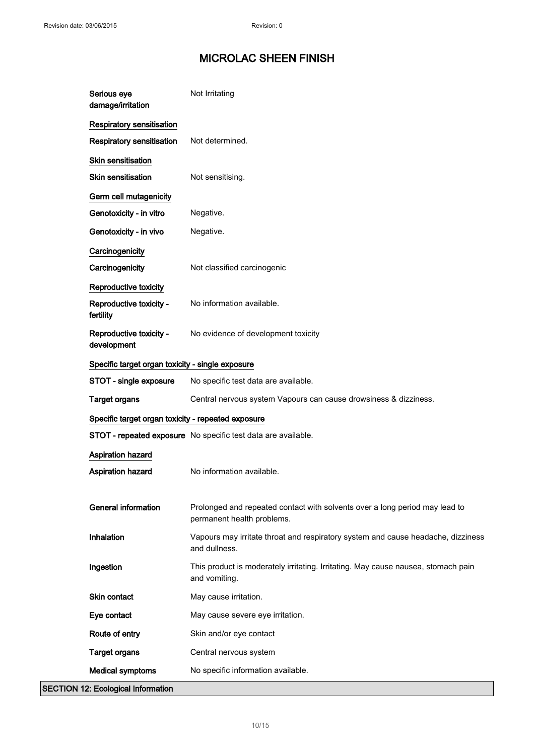| Serious eye<br>damage/irritation                   | Not Irritating                                                                                            |
|----------------------------------------------------|-----------------------------------------------------------------------------------------------------------|
| Respiratory sensitisation                          |                                                                                                           |
| Respiratory sensitisation                          | Not determined.                                                                                           |
| Skin sensitisation                                 |                                                                                                           |
| <b>Skin sensitisation</b>                          | Not sensitising.                                                                                          |
| Germ cell mutagenicity                             |                                                                                                           |
| Genotoxicity - in vitro                            | Negative.                                                                                                 |
| Genotoxicity - in vivo                             | Negative.                                                                                                 |
| Carcinogenicity                                    |                                                                                                           |
| Carcinogenicity                                    | Not classified carcinogenic                                                                               |
| Reproductive toxicity                              |                                                                                                           |
| Reproductive toxicity -<br>fertility               | No information available.                                                                                 |
| Reproductive toxicity -<br>development             | No evidence of development toxicity                                                                       |
| Specific target organ toxicity - single exposure   |                                                                                                           |
| STOT - single exposure                             | No specific test data are available.                                                                      |
| <b>Target organs</b>                               | Central nervous system Vapours can cause drowsiness & dizziness.                                          |
| Specific target organ toxicity - repeated exposure |                                                                                                           |
|                                                    | STOT - repeated exposure No specific test data are available.                                             |
| <b>Aspiration hazard</b>                           |                                                                                                           |
| Aspiration hazard                                  | No information available.                                                                                 |
|                                                    |                                                                                                           |
| <b>General information</b>                         | Prolonged and repeated contact with solvents over a long period may lead to<br>permanent health problems. |
| Inhalation                                         | Vapours may irritate throat and respiratory system and cause headache, dizziness<br>and dullness.         |
| Ingestion                                          | This product is moderately irritating. Irritating. May cause nausea, stomach pain<br>and vomiting.        |
| Skin contact                                       | May cause irritation.                                                                                     |
| Eye contact                                        | May cause severe eye irritation.                                                                          |
| Route of entry                                     | Skin and/or eye contact                                                                                   |
| <b>Target organs</b>                               | Central nervous system                                                                                    |
| <b>Medical symptoms</b>                            | No specific information available.                                                                        |
| <b>SECTION 12: Ecological Information</b>          |                                                                                                           |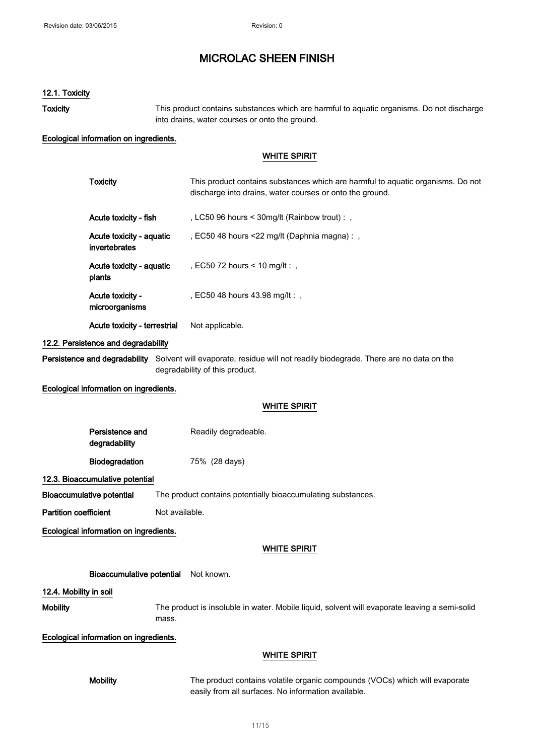#### 12.1. Toxicity

Toxicity This product contains substances which are harmful to aquatic organisms. Do not discharge into drains, water courses or onto the ground.

#### Ecological information on ingredients.

### WHITE SPIRIT

| <b>Toxicity</b>                           | This product contains substances which are harmful to aquatic organisms. Do not<br>discharge into drains, water courses or onto the ground. |
|-------------------------------------------|---------------------------------------------------------------------------------------------------------------------------------------------|
| Acute toxicity - fish                     | , LC50 96 hours $\leq$ 30 mg/lt (Rainbow trout) : ,                                                                                         |
| Acute toxicity - aquatic<br>invertebrates | , EC50 48 hours $\leq$ 22 mg/lt (Daphnia magna):,                                                                                           |
| Acute toxicity - aquatic<br>plants        | , EC50 72 hours < 10 mg/lt : ,                                                                                                              |
| Acute toxicity -<br>microorganisms        | . EC50 48 hours 43.98 mg/lt : .                                                                                                             |
| Acute toxicity - terrestrial              | Not applicable.                                                                                                                             |

### 12.2. Persistence and degradability

Persistence and degradability Solvent will evaporate, residue will not readily biodegrade. There are no data on the degradability of this product.

Ecological information on ingredients.

### WHITE SPIRIT

| Persistence and       | Readily degradeable. |
|-----------------------|----------------------|
| degradability         |                      |
| <b>Biodegradation</b> | 75% (28 days)        |

12.3. Bioaccumulative potential

Bioaccumulative potential The product contains potentially bioaccumulating substances.

Partition coefficient Not available.

Ecological information on ingredients.

#### WHITE SPIRIT

#### Bioaccumulative potential Not known.

12.4. Mobility in soil

Mobility The product is insoluble in water. Mobile liquid, solvent will evaporate leaving a semi-solid mass.

#### Ecological information on ingredients.

#### WHITE SPIRIT

Mobility The product contains volatile organic compounds (VOCs) which will evaporate easily from all surfaces. No information available.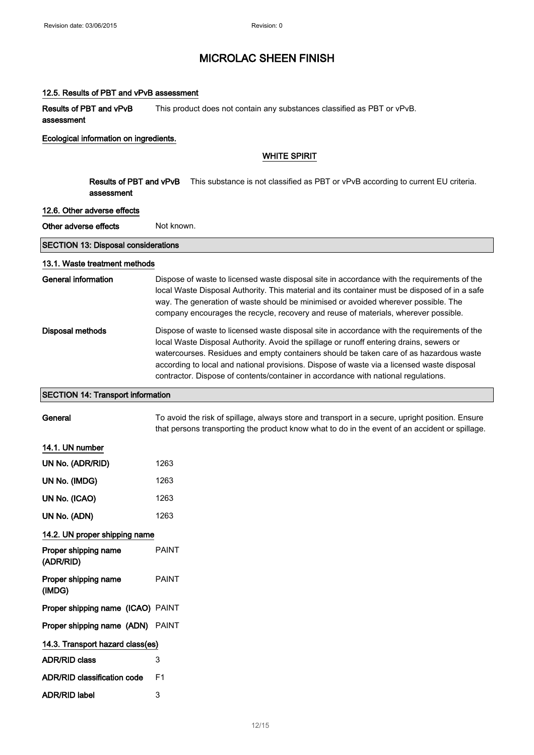#### 12.5. Results of PBT and vPvB assessment

Results of PBT and vPvB assessment This product does not contain any substances classified as PBT or vPvB.

#### Ecological information on ingredients.

### WHITE SPIRIT

|                       | Results of PBT and vPvB<br>assessment | This substance is not classified as PBT or vPvB according to current EU criteria.                                                                                                                                                                                                                                                                                                                                                                                    |
|-----------------------|---------------------------------------|----------------------------------------------------------------------------------------------------------------------------------------------------------------------------------------------------------------------------------------------------------------------------------------------------------------------------------------------------------------------------------------------------------------------------------------------------------------------|
|                       | 12.6. Other adverse effects           |                                                                                                                                                                                                                                                                                                                                                                                                                                                                      |
| Other adverse effects |                                       | Not known.                                                                                                                                                                                                                                                                                                                                                                                                                                                           |
|                       | SECTION 13: Disposal considerations   |                                                                                                                                                                                                                                                                                                                                                                                                                                                                      |
|                       | 13.1. Waste treatment methods         |                                                                                                                                                                                                                                                                                                                                                                                                                                                                      |
| General information   |                                       | Dispose of waste to licensed waste disposal site in accordance with the requirements of the<br>local Waste Disposal Authority. This material and its container must be disposed of in a safe<br>way. The generation of waste should be minimised or avoided wherever possible. The<br>company encourages the recycle, recovery and reuse of materials, wherever possible.                                                                                            |
| Disposal methods      |                                       | Dispose of waste to licensed waste disposal site in accordance with the requirements of the<br>local Waste Disposal Authority. Avoid the spillage or runoff entering drains, sewers or<br>watercourses. Residues and empty containers should be taken care of as hazardous waste<br>according to local and national provisions. Dispose of waste via a licensed waste disposal<br>contractor. Dispose of contents/container in accordance with national regulations. |

### SECTION 14: Transport information

General To avoid the risk of spillage, always store and transport in a secure, upright position. Ensure that persons transporting the product know what to do in the event of an accident or spillage.

### 14.1. UN number

| UN No. (ADR/RID)                   | 1263         |
|------------------------------------|--------------|
| UN No. (IMDG)                      | 1263         |
| UN No. (ICAO)                      | 1263         |
| UN No. (ADN)                       | 1263         |
| 14.2. UN proper shipping name      |              |
| Proper shipping name<br>(ADR/RID)  | <b>PAINT</b> |
| Proper shipping name<br>(IMDG)     | <b>PAINT</b> |
| Proper shipping name (ICAO) PAINT  |              |
| Proper shipping name (ADN) PAINT   |              |
| 14.3. Transport hazard class(es)   |              |
| <b>ADR/RID class</b>               | 3            |
| <b>ADR/RID classification code</b> | F1           |
| <b>ADR/RID label</b>               | 3            |
|                                    |              |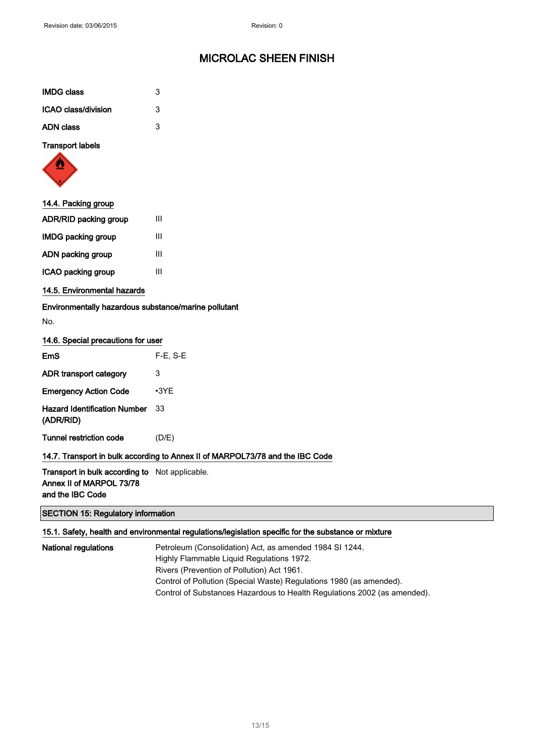| <b>IMDG class</b>   | 3 |
|---------------------|---|
| ICAO class/division | 3 |
| <b>ADN class</b>    | 3 |

Transport labels



| 14.4. Packing group       |   |
|---------------------------|---|
| ADR/RID packing group     | Ш |
| <b>IMDG packing group</b> | Ш |
| ADN packing group         | Ш |
| ICAO packing group        | Ш |
|                           |   |

14.5. Environmental hazards

Environmentally hazardous substance/marine pollutant

No.

### 14.6. Special precautions for user

| FmS                                       | $F-E$ , $S-E$ |
|-------------------------------------------|---------------|
| ADR transport category                    | 3             |
| <b>Emergency Action Code</b>              | •3YF          |
| Hazard Identification Number<br>(ADR/RID) | 33            |
| Tunnel restriction code                   | (D/E)         |

### 14.7. Transport in bulk according to Annex II of MARPOL73/78 and the IBC Code

Transport in bulk according to Not applicable. Annex II of MARPOL 73/78 and the IBC Code

### SECTION 15: Regulatory information

### 15.1. Safety, health and environmental regulations/legislation specific for the substance or mixture

National regulations **Petroleum (Consolidation) Act, as amended 1984 SI 1244.** Highly Flammable Liquid Regulations 1972. Rivers (Prevention of Pollution) Act 1961. Control of Pollution (Special Waste) Regulations 1980 (as amended). Control of Substances Hazardous to Health Regulations 2002 (as amended).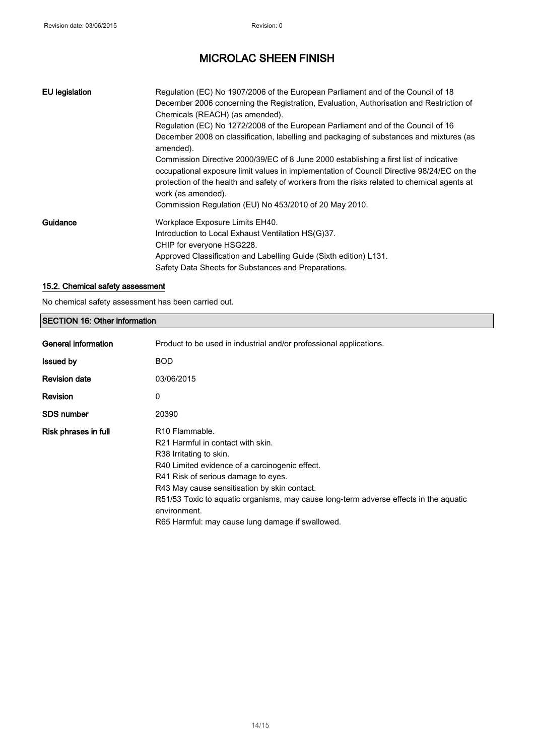| <b>EU</b> legislation | Regulation (EC) No 1907/2006 of the European Parliament and of the Council of 18<br>December 2006 concerning the Registration, Evaluation, Authorisation and Restriction of<br>Chemicals (REACH) (as amended).<br>Regulation (EC) No 1272/2008 of the European Parliament and of the Council of 16       |
|-----------------------|----------------------------------------------------------------------------------------------------------------------------------------------------------------------------------------------------------------------------------------------------------------------------------------------------------|
|                       | December 2008 on classification, labelling and packaging of substances and mixtures (as<br>amended).                                                                                                                                                                                                     |
|                       | Commission Directive 2000/39/EC of 8 June 2000 establishing a first list of indicative<br>occupational exposure limit values in implementation of Council Directive 98/24/EC on the<br>protection of the health and safety of workers from the risks related to chemical agents at<br>work (as amended). |
|                       | Commission Regulation (EU) No 453/2010 of 20 May 2010.                                                                                                                                                                                                                                                   |
| Guidance              | Workplace Exposure Limits EH40.                                                                                                                                                                                                                                                                          |
|                       | Introduction to Local Exhaust Ventilation HS(G)37.                                                                                                                                                                                                                                                       |
|                       | CHIP for everyone HSG228.                                                                                                                                                                                                                                                                                |
|                       | Approved Classification and Labelling Guide (Sixth edition) L131.                                                                                                                                                                                                                                        |
|                       | Safety Data Sheets for Substances and Preparations.                                                                                                                                                                                                                                                      |

### 15.2. Chemical safety assessment

No chemical safety assessment has been carried out.

| <b>SECTION 16: Other information</b> |                                                                                                                                                                                                                                                                                                                                                                                                              |  |
|--------------------------------------|--------------------------------------------------------------------------------------------------------------------------------------------------------------------------------------------------------------------------------------------------------------------------------------------------------------------------------------------------------------------------------------------------------------|--|
| General information                  | Product to be used in industrial and/or professional applications.                                                                                                                                                                                                                                                                                                                                           |  |
| <b>Issued by</b>                     | <b>BOD</b>                                                                                                                                                                                                                                                                                                                                                                                                   |  |
| <b>Revision date</b>                 | 03/06/2015                                                                                                                                                                                                                                                                                                                                                                                                   |  |
| <b>Revision</b>                      | 0                                                                                                                                                                                                                                                                                                                                                                                                            |  |
| <b>SDS number</b>                    | 20390                                                                                                                                                                                                                                                                                                                                                                                                        |  |
| Risk phrases in full                 | R <sub>10</sub> Flammable.<br>R <sub>21</sub> Harmful in contact with skin.<br>R38 Irritating to skin.<br>R40 Limited evidence of a carcinogenic effect.<br>R41 Risk of serious damage to eyes.<br>R43 May cause sensitisation by skin contact.<br>R51/53 Toxic to aquatic organisms, may cause long-term adverse effects in the aquatic<br>environment.<br>R65 Harmful: may cause lung damage if swallowed. |  |